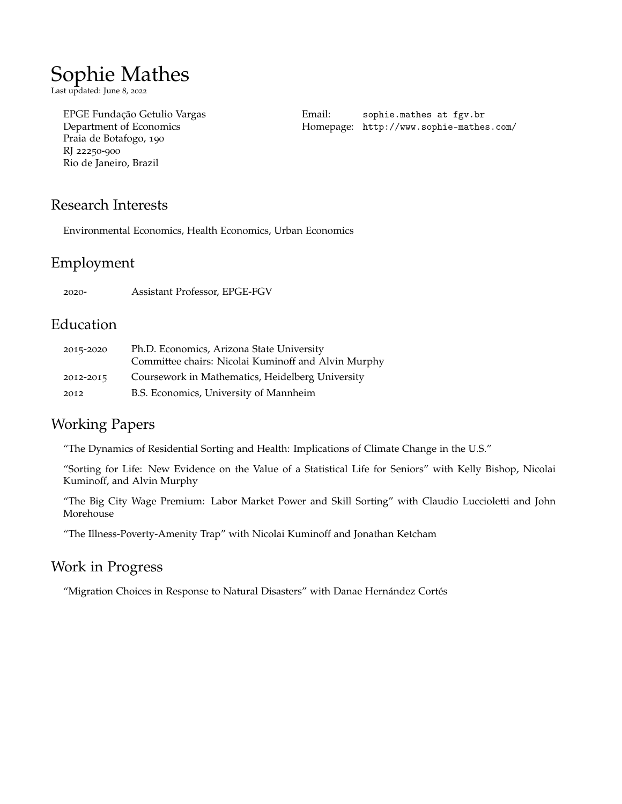# Sophie Mathes

Last updated: June 8, 2022

Praia de Botafogo, 190 RJ 22250-900 Rio de Janeiro, Brazil

[EPGE Fundação Getulio Vargas](https://epge.fgv.br/en) Email: sophie.mathes at fgv.br Homepage: [http://www.sophie-mathes.com/](http://sophie-mathes.com/)

## Research Interests

Environmental Economics, Health Economics, Urban Economics

# Employment

2020- Assistant Professor, EPGE-FGV

#### Education

| 2015-2020 | Ph.D. Economics, Arizona State University           |
|-----------|-----------------------------------------------------|
|           | Committee chairs: Nicolai Kuminoff and Alvin Murphy |
| 2012-2015 | Coursework in Mathematics, Heidelberg University    |
| 2012      | B.S. Economics, University of Mannheim              |

### Working Papers

"The Dynamics of Residential Sorting and Health: Implications of Climate Change in the U.S."

"Sorting for Life: New Evidence on the Value of a Statistical Life for Seniors" with Kelly Bishop, Nicolai Kuminoff, and Alvin Murphy

"The Big City Wage Premium: Labor Market Power and Skill Sorting" with Claudio Luccioletti and John Morehouse

"The Illness-Poverty-Amenity Trap" with Nicolai Kuminoff and Jonathan Ketcham

#### Work in Progress

"Migration Choices in Response to Natural Disasters" with Danae Hernández Cortés